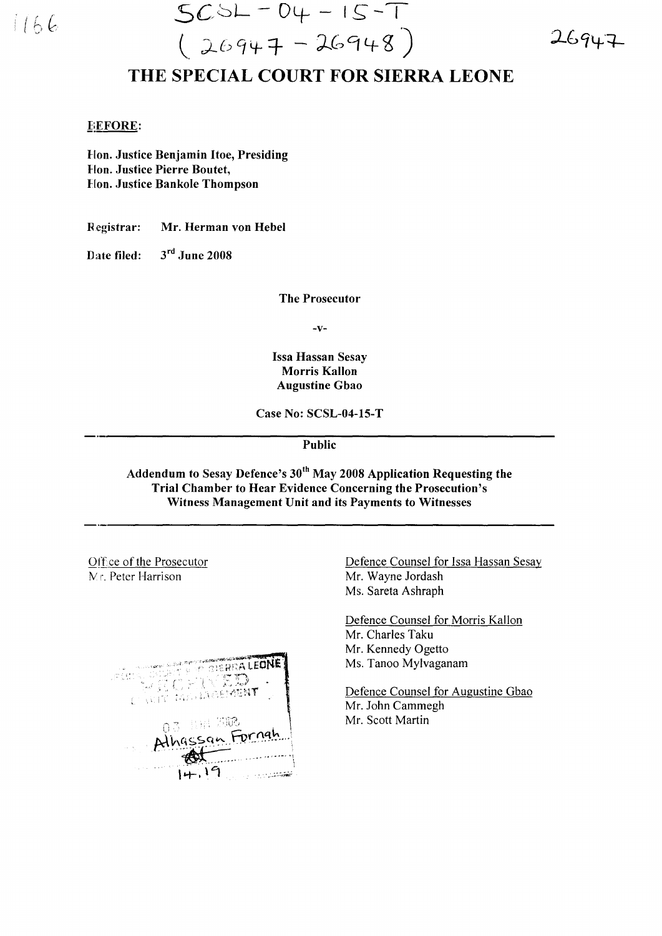

 $SCSL - DY - IS - T$  $(26947 - 26948)$ 

 $26947$ 

## THE SPECIAL COURT FOR SIERRA LEONE

## **EEFORE:**

Hon. Justice Benjamin Itoe, Presiding **Hon. Justice Pierre Boutet, Hon. Justice Bankole Thompson** 

Registrar: Mr. Herman von Hebel

 $3<sup>rd</sup>$  June 2008 Date filed:

**The Prosecutor** 

 $-V-$ 

**Issa Hassan Sesay Morris Kallon Augustine Gbao** 

Case No: SCSL-04-15-T

Public

Addendum to Sesay Defence's 30<sup>th</sup> May 2008 Application Requesting the Trial Chamber to Hear Evidence Concerning the Prosecution's Witness Management Unit and its Payments to Witnesses

Office of the Prosecutor M.r. Peter Harrison



Defence Counsel for Issa Hassan Sesay Mr. Wayne Jordash Ms. Sareta Ashraph

Defence Counsel for Morris Kallon Mr. Charles Taku Mr. Kennedy Ogetto Ms. Tanoo Mylvaganam

Defence Counsel for Augustine Gbao Mr. John Cammegh Mr. Scott Martin